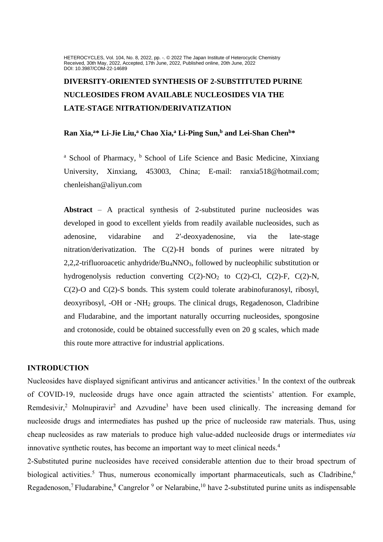HETEROCYCLES, Vol. 104, No. 8, 2022, pp. -. @ 2022 The Japan Institute of Heterocyclic Chemistry Received, 30th May, 2022, Accepted, 17th June, 2022, Published online, 20th June, 2022 DOI: 10.3987/COM-22-14689

# **DIVERSITY-ORIENTED SYNTHESIS OF 2-SUBSTITUTED PURINE NUCLEOSIDES FROM AVAILABLE NUCLEOSIDES VIA THE LATE-STAGE NITRATION/DERIVATIZATION**

# **Ran Xia,<sup>a</sup>\* Li-Jie Liu,<sup>a</sup> Chao Xia,<sup>a</sup> Li-Ping Sun, <sup>b</sup> and Lei-Shan Chen<sup>b</sup>\***

<sup>a</sup> School of Pharmacy, <sup>b</sup> School of Life Science and Basic Medicine, Xinxiang University, Xinxiang, 453003, China; E-mail: [ranxia518@hotmail.com;](mailto:ranxia518@hotmail.com) chenleishan@aliyun.com

**Abstract** – A practical synthesis of 2-substituted purine nucleosides was developed in good to excellent yields from readily available nucleosides, such as adenosine, vidarabine and 2′-deoxyadenosine, via the late-stage nitration/derivatization. The C(2)-H bonds of purines were nitrated by 2,2,2-trifluoroacetic anhydride/Bu4NNO3, followed by nucleophilic substitution or hydrogenolysis reduction converting  $C(2)$ -NO<sub>2</sub> to  $C(2)$ -Cl,  $C(2)$ -F,  $C(2)$ -N, C(2)-O and C(2)-S bonds. This system could tolerate arabinofuranosyl, ribosyl, deoxyribosyl, -OH or -NH<sup>2</sup> groups. The clinical drugs, Regadenoson, Cladribine and Fludarabine, and the important naturally occurring nucleosides, spongosine and crotonoside, could be obtained successfully even on 20 g scales, which made this route more attractive for industrial applications.

#### **INTRODUCTION**

Nucleosides have displayed significant antivirus and anticancer activities.<sup>1</sup> In the context of the outbreak of COVID-19, nucleoside drugs have once again attracted the scientists' attention. For example, Remdesivir,<sup>2</sup> Molnupiravir<sup>2</sup> and Azvudine<sup>3</sup> have been used clinically. The increasing demand for nucleoside drugs and intermediates has pushed up the price of nucleoside raw materials. Thus, using cheap nucleosides as raw materials to produce high value-added nucleoside drugs or intermediates *via* innovative synthetic routes, has become an important way to meet clinical needs. 4

2-Substituted purine nucleosides have received considerable attention due to their broad spectrum of biological activities.<sup>5</sup> Thus, numerous economically important pharmaceuticals, such as Cladribine,<sup>6</sup> Regadenoson,<sup>7</sup> Fludarabine,  $8$  Cangrelor  $9$  or Nelarabine,  $10$  have 2-substituted purine units as indispensable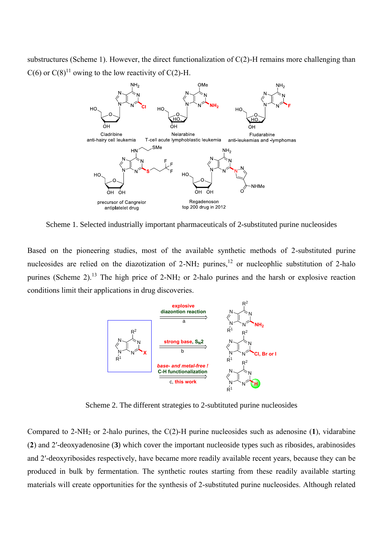substructures (Scheme 1). However, the direct functionalization of C(2)-H remains more challenging than  $C(6)$  or  $C(8)^{11}$  owing to the low reactivity of  $C(2)$ -H.



Scheme 1. Selected industrially important pharmaceuticals of 2-substituted purine nucleosides

Based on the pioneering studies, most of the available synthetic methods of 2-substituted purine nucleosides are relied on the diazotization of  $2-NH_2$  purines,<sup>12</sup> or nucleophlic substitution of  $2$ -halo purines (Scheme 2).<sup>13</sup> The high price of 2-NH<sub>2</sub> or 2-halo purines and the harsh or explosive reaction conditions limit their applications in drug discoveries.



Scheme 2. The different strategies to 2-subtituted purine nucleosides

Compared to 2-NH<sup>2</sup> or 2-halo purines, the C(2)-H purine nucleosides such as adenosine (**1**), vidarabine (**2**) and 2′-deoxyadenosine (**3**) which cover the important nucleoside types such as ribosides, arabinosides and 2′-deoxyribosides respectively, have became more readily available recent years, because they can be produced in bulk by fermentation. The synthetic routes starting from these readily available starting materials will create opportunities for the synthesis of 2-substituted purine nucleosides. Although related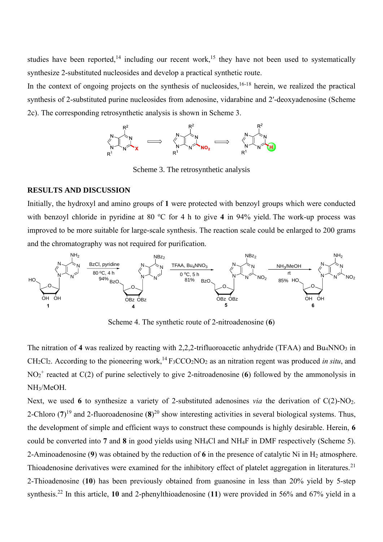studies have been reported,<sup>14</sup> including our recent work,<sup>15</sup> they have not been used to systematically synthesize 2-substituted nucleosides and develop a practical synthetic route.

In the context of ongoing projects on the synthesis of nucleosides,  $16-18$  herein, we realized the practical synthesis of 2-substituted purine nucleosides from adenosine, vidarabine and 2′-deoxyadenosine (Scheme 2c). The corresponding retrosynthetic analysis is shown in Scheme 3.



Scheme 3. The retrosynthetic analysis

# **RESULTS AND DISCUSSION**

Initially, the hydroxyl and amino groups of **1** were protected with benzoyl groups which were conducted with benzoyl chloride in pyridine at 80  $\degree$ C for 4 h to give 4 in 94% yield. The work-up process was improved to be more suitable for large-scale synthesis. The reaction scale could be enlarged to 200 grams and the chromatography was not required for purification.



Scheme 4. The synthetic route of 2-nitroadenosine (**6**)

The nitration of 4 was realized by reacting with 2,2,2-trifluoroacetic anhydride (TFAA) and Bu<sub>4</sub>NNO<sub>3</sub> in CH<sub>2</sub>Cl<sub>2</sub>. According to the pioneering work,<sup>14</sup> F<sub>3</sub>CCO<sub>2</sub>NO<sub>2</sub> as an nitration regent was produced *in situ*, and NO<sup>2</sup> + reacted at C(2) of purine selectively to give 2-nitroadenosine (**6**) followed by the ammonolysis in NH3/MeOH.

Next, we used 6 to synthesize a variety of 2-substituted adenosines *via* the derivation of  $C(2)$ -NO<sub>2</sub>. 2-Chloro  $(7)^{19}$  and 2-fluoroadenosine  $(8)^{20}$  show interesting activities in several biological systems. Thus, the development of simple and efficient ways to construct these compounds is highly desirable. Herein, **6** could be converted into **7** and **8** in good yields using NH4Cl and NH4F in DMF respectively (Scheme 5). 2-Aminoadenosine (9) was obtained by the reduction of 6 in the presence of catalytic Ni in H<sub>2</sub> atmosphere. Thioadenosine derivatives were examined for the inhibitory effect of platelet aggregation in literatures.<sup>21</sup> 2-Thioadenosine (**10**) has been previously obtained from guanosine in less than 20% yield by 5-step synthesis.<sup>22</sup> In this article, **10** and 2-phenylthioadenosine (**11**) were provided in 56% and 67% yield in a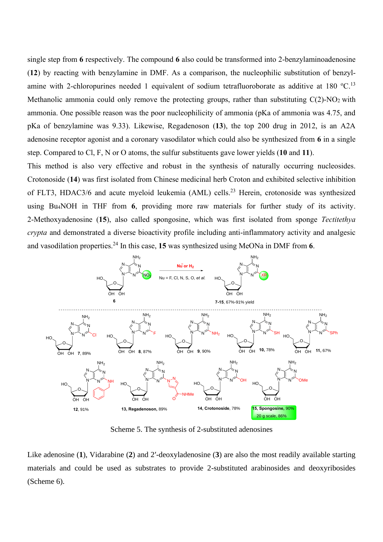single step from **6** respectively. The compound **6** also could be transformed into 2-benzylaminoadenosine (**12**) by reacting with benzylamine in DMF. As a comparison, the nucleophilic substitution of benzylamine with 2-chloropurines needed 1 equivalent of sodium tetrafluoroborate as additive at 180 °C.<sup>13</sup> Methanolic ammonia could only remove the protecting groups, rather than substituting  $C(2)$ -NO<sub>2</sub> with ammonia. One possible reason was the poor nucleophilicity of ammonia (pKa of ammonia was 4.75, and pKa of benzylamine was 9.33). Likewise, Regadenoson (**13**), the top 200 drug in 2012, is an A2A adenosine receptor agonist and a coronary vasodilator which could also be synthesized from **6** in a single step. Compared to Cl, F, N or O atoms, the sulfur substituents gave lower yields (**10** and **11**).

This method is also very effective and robust in the synthesis of naturally occurring nucleosides. Crotonoside (**14**) was first isolated from Chinese medicinal herb Croton and exhibited selective inhibition of FLT3, HDAC3/6 and acute myeloid leukemia (AML) cells.<sup>23</sup> Herein, crotonoside was synthesized using Bu4NOH in THF from **6**, providing more raw materials for further study of its activity. 2-Methoxyadenosine (**15**), also called spongosine, which was first isolated from sponge *Tectitethya crypta* and demonstrated a diverse bioactivity profile including anti-inflammatory activity and analgesic and vasodilation properties.<sup>24</sup> In this case, **15** was synthesized using MeONa in DMF from **6**.



Scheme 5. The synthesis of 2-substituted adenosines

Like adenosine (**1**), Vidarabine (**2**) and 2′-deoxyladenosine (**3**) are also the most readily available starting materials and could be used as substrates to provide 2-substituted arabinosides and deoxyribosides (Scheme 6).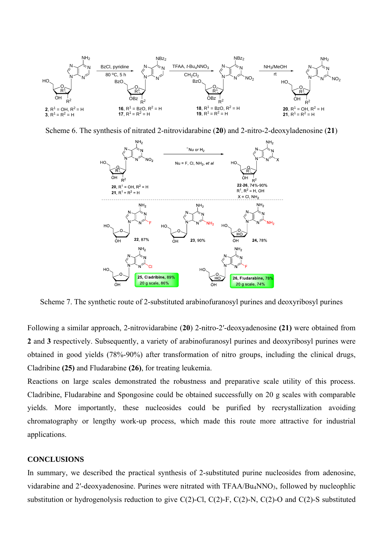

Scheme 6. The synthesis of nitrated 2-nitrovidarabine (**20**) and 2-nitro-2-deoxyladenosine (**21**)



Scheme 7. The synthetic route of 2-substituted arabinofuranosyl purines and deoxyribosyl purines

Following a similar approach, 2-nitrovidarabine (**20**) 2-nitro-2′-deoxyadenosine **(21)** were obtained from **2** and **3** respectively. Subsequently, a variety of arabinofuranosyl purines and deoxyribosyl purines were obtained in good yields (78%-90%) after transformation of nitro groups, including the clinical drugs, Cladribine **(25)** and Fludarabine **(26)**, for treating leukemia.

Reactions on large scales demonstrated the robustness and preparative scale utility of this process. Cladribine, Fludarabine and Spongosine could be obtained successfully on 20 g scales with comparable yields. More importantly, these nucleosides could be purified by recrystallization avoiding chromatography or lengthy work-up process, which made this route more attractive for industrial applications.

### **CONCLUSIONS**

In summary, we described the practical synthesis of 2-substituted purine nucleosides from adenosine, vidarabine and 2′-deoxyadenosine. Purines were nitrated with TFAA/Bu4NNO3, followed by nucleophlic substitution or hydrogenolysis reduction to give C(2)-Cl, C(2)-F, C(2)-N, C(2)-O and C(2)-S substituted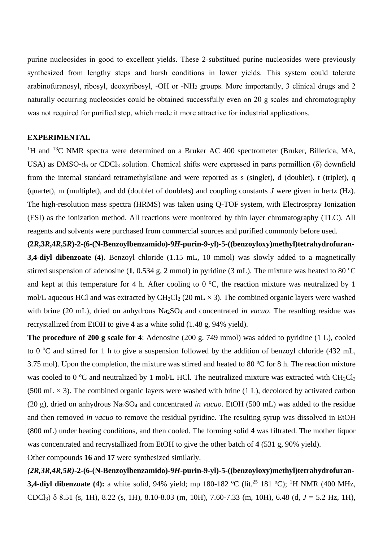purine nucleosides in good to excellent yields. These 2-substitued purine nucleosides were previously synthesized from lengthy steps and harsh conditions in lower yields. This system could tolerate arabinofuranosyl, ribosyl, deoxyribosyl, -OH or -NH<sup>2</sup> groups. More importantly, 3 clinical drugs and 2 naturally occurring nucleosides could be obtained successfully even on 20 g scales and chromatography was not required for purified step, which made it more attractive for industrial applications.

# **EXPERIMENTAL**

<sup>1</sup>H and <sup>13</sup>C NMR spectra were determined on a Bruker AC 400 spectrometer (Bruker, Billerica, MA, USA) as DMSO- $d_6$  or CDCl<sub>3</sub> solution. Chemical shifts were expressed in parts permillion ( $\delta$ ) downfield from the internal standard tetramethylsilane and were reported as s (singlet), d (doublet), t (triplet), q (quartet), m (multiplet), and dd (doublet of doublets) and coupling constants *J* were given in hertz (Hz). The high-resolution mass spectra (HRMS) was taken using Q-TOF system, with Electrospray Ionization (ESI) as the ionization method. All reactions were monitored by thin layer chromatography (TLC). All reagents and solvents were purchased from commercial sources and purified commonly before used.

**(2***R***,3***R***,4***R***,5***R***)-2-(6-(N-Benzoylbenzamido)-9***H***-purin-9-yl)-5-((benzoyloxy)methyl)tetrahydrofuran-3,4-diyl dibenzoate (4).** Benzoyl chloride (1.15 mL, 10 mmol) was slowly added to a magnetically stirred suspension of adenosine  $(1, 0.534 \text{ g}, 2 \text{ mmol})$  in pyridine  $(3 \text{ mL})$ . The mixture was heated to 80 °C and kept at this temperature for 4 h. After cooling to  $0^{\circ}$ C, the reaction mixture was neutralized by 1 mol/L aqueous HCl and was extracted by  $CH_2Cl_2$  (20 mL  $\times$  3). The combined organic layers were washed with brine (20 mL), dried on anhydrous Na<sub>2</sub>SO<sub>4</sub> and concentrated *in vacuo*. The resulting residue was recrystallized from EtOH to give **4** as a white solid (1.48 g, 94% yield).

**The procedure of 200 g scale for 4**: Adenosine (200 g, 749 mmol) was added to pyridine (1 L), cooled to 0  $\degree$ C and stirred for 1 h to give a suspension followed by the addition of benzoyl chloride (432 mL, 3.75 mol). Upon the completion, the mixture was stirred and heated to 80  $\degree$ C for 8 h. The reaction mixture was cooled to 0  $\rm{^{\circ}C}$  and neutralized by 1 mol/L HCl. The neutralized mixture was extracted with CH<sub>2</sub>Cl<sub>2</sub> (500 mL  $\times$  3). The combined organic layers were washed with brine (1 L), decolored by activated carbon (20 g), dried on anhydrous Na2SO<sup>4</sup> and concentrated *in vacuo*. EtOH (500 mL) was added to the residue and then removed *in vacuo* to remove the residual pyridine. The resulting syrup was dissolved in EtOH (800 mL) under heating conditions, and then cooled. The forming solid **4** was filtrated. The mother liquor was concentrated and recrystallized from EtOH to give the other batch of **4** (531 g, 90% yield).

Other compounds **16** and **17** were synthesized similarly.

# *(2R,3R,4R,5R)***-2-(6-(N-Benzoylbenzamido)-9***H***-purin-9-yl)-5-((benzoyloxy)methyl)tetrahydrofuran-3,4-diyl dibenzoate (4):** a white solid, 94% yield; mp 180-182 °C (lit.<sup>25</sup> 181 °C); <sup>1</sup>H NMR (400 MHz, CDCl3) δ 8.51 (s, 1H), 8.22 (s, 1H), 8.10-8.03 (m, 10H), 7.60-7.33 (m, 10H), 6.48 (d, *J* = 5.2 Hz, 1H),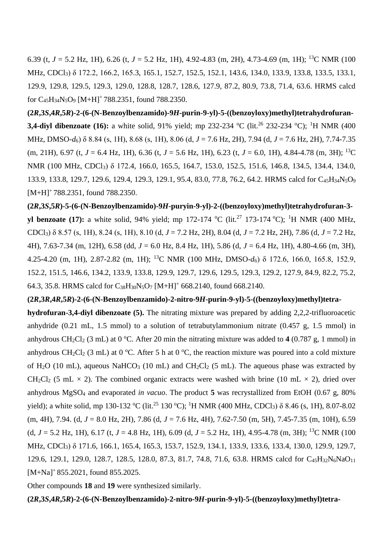6.39 (t,  $J = 5.2$  Hz, 1H), 6.26 (t,  $J = 5.2$  Hz, 1H), 4.92-4.83 (m, 2H), 4.73-4.69 (m, 1H); <sup>13</sup>C NMR (100 MHz, CDCl3) δ 172.2, 166.2, 165.3, 165.1, 152.7, 152.5, 152.1, 143.6, 134.0, 133.9, 133.8, 133.5, 133.1, 129.9, 129.8, 129.5, 129.3, 129.0, 128.8, 128.7, 128.6, 127.9, 87.2, 80.9, 73.8, 71.4, 63.6. HRMS calcd for C<sub>45</sub>H<sub>34</sub>N<sub>5</sub>O<sub>9</sub> [M+H]<sup>+</sup> 788.2351, found 788.2350.

**(2***R***,3***S***,4***R***,5***R***)-2-(6-(N-Benzoylbenzamido)-9***H***-purin-9-yl)-5-((benzoyloxy)methyl)tetrahydrofuran-3,4-diyl dibenzoate (16):** a white solid, 91% yield; mp 232-234 °C (lit.<sup>26</sup> 232-234 °C); <sup>1</sup>H NMR (400 MHz, DMSO-*d*6) δ 8.84 (s, 1H), 8.68 (s, 1H), 8.06 (d, *J* = 7.6 Hz, 2H), 7.94 (d, *J* = 7.6 Hz, 2H), 7.74-7.35 (m, 21H), 6.97 (t,  $J = 6.4$  Hz, 1H), 6.36 (t,  $J = 5.6$  Hz, 1H), 6.23 (t,  $J = 6.0$ , 1H), 4.84-4.78 (m, 3H); <sup>13</sup>C NMR (100 MHz, CDCl3) δ 172.4, 166.0, 165.5, 164.7, 153.0, 152.5, 151.6, 146.8, 134.5, 134.4, 134.0, 133.9, 133.8, 129.7, 129.6, 129.4, 129.3, 129.1, 95.4, 83.0, 77.8, 76.2, 64.2. HRMS calcd for C45H34N5O<sup>9</sup> [M+H]<sup>+</sup> 788.2351, found 788.2350.

**(2***R***,3***S***,5***R***)-5-(6-(N-Benzoylbenzamido)-9***H***-puryin-9-yl)-2-((benzoyloxy)methyl)tetrahydrofuran-3 yl benzoate (17):** a white solid, 94% yield; mp 172-174 °C (lit.<sup>27</sup> 173-174 °C); <sup>1</sup>H NMR (400 MHz, CDCl3) δ 8.57 (s, 1H), 8.24 (s, 1H), 8.10 (d, *J* = 7.2 Hz, 2H), 8.04 (d, *J* = 7.2 Hz, 2H), 7.86 (d, *J* = 7.2 Hz, 4H), 7.63-7.34 (m, 12H), 6.58 (dd, *J* = 6.0 Hz, 8.4 Hz, 1H), 5.86 (d, *J* = 6.4 Hz, 1H), 4.80-4.66 (m, 3H), 4.25-4.20 (m, 1H), 2.87-2.82 (m, 1H); <sup>13</sup>C NMR (100 MHz, DMSO-*d*6) δ 172.6, 166.0, 165.8, 152.9, 152.2, 151.5, 146.6, 134.2, 133.9, 133.8, 129.9, 129.7, 129.6, 129.5, 129.3, 129.2, 127.9, 84.9, 82.2, 75.2, 64.3, 35.8. HRMS calcd for  $C_{38}H_{30}N_5O_7$  [M+H]<sup>+</sup> 668.2140, found 668.2140.

### **(2***R***,3***R***,4***R***,5***R***)-2-(6-(N-Benzoylbenzamido)-2-nitro-9***H***-purin-9-yl)-5-((benzoyloxy)methyl)tetra-**

**hydrofuran-3,4-diyl dibenzoate (5).** The nitrating mixture was prepared by adding 2,2,2-trifluoroacetic anhydride (0.21 mL, 1.5 mmol) to a solution of tetrabutylammonium nitrate (0.457 g, 1.5 mmol) in anhydrous  $CH_2Cl_2$  (3 mL) at 0 °C. After 20 min the nitrating mixture was added to 4 (0.787 g, 1 mmol) in anhydrous CH<sub>2</sub>Cl<sub>2</sub> (3 mL) at 0 °C. After 5 h at 0 °C, the reaction mixture was poured into a cold mixture of H<sub>2</sub>O (10 mL), aqueous NaHCO<sub>3</sub> (10 mL) and CH<sub>2</sub>Cl<sub>2</sub> (5 mL). The aqueous phase was extracted by CH<sub>2</sub>Cl<sub>2</sub> (5 mL  $\times$  2). The combined organic extracts were washed with brine (10 mL  $\times$  2), dried over anhydrous MgSO<sup>4</sup> and evaporated *in vacuo*. The product **5** was recrystallized from EtOH (0.67 g, 80% yield); a white solid, mp 130-132 °C (lit.<sup>25</sup> 130 °C); <sup>1</sup>H NMR (400 MHz, CDCl<sub>3</sub>) δ 8.46 (s, 1H), 8.07-8.02 (m, 4H), 7.94. (d, *J* = 8.0 Hz, 2H), 7.86 (d, *J* = 7.6 Hz, 4H), 7.62-7.50 (m, 5H), 7.45-7.35 (m, 10H), 6.59 (d,  $J = 5.2$  Hz, 1H), 6.17 (t,  $J = 4.8$  Hz, 1H), 6.09 (d,  $J = 5.2$  Hz, 1H), 4.95-4.78 (m, 3H); <sup>13</sup>C NMR (100 MHz, CDCl3) δ 171.6, 166.1, 165.4, 165.3, 153.7, 152.9, 134.1, 133.9, 133.6, 133.4, 130.0, 129.9, 129.7, 129.6, 129.1, 129.0, 128.7, 128.5, 128.0, 87.3, 81.7, 74.8, 71.6, 63.8. HRMS calcd for C<sub>45</sub>H<sub>32</sub>N<sub>6</sub>NaO<sub>11</sub> [M+Na]<sup>+</sup> 855.2021, found 855.2025.

Other compounds **18** and **19** were synthesized similarly.

**(2***R***,3***S***,4***R***,5***R***)-2-(6-(N-Benzoylbenzamido)-2-nitro-9***H***-purin-9-yl)-5-((benzoyloxy)methyl)tetra-**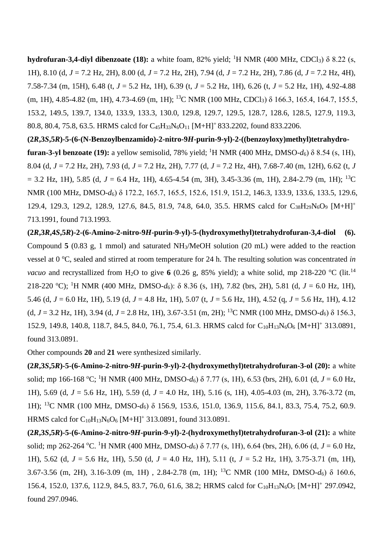**hydrofuran-3,4-diyl dibenzoate (18):** a white foam, 82% yield; <sup>1</sup>H NMR (400 MHz, CDCl3) δ 8.22 (s, 1H), 8.10 (d, *J* = 7.2 Hz, 2H), 8.00 (d, *J* = 7.2 Hz, 2H), 7.94 (d, *J* = 7.2 Hz, 2H), 7.86 (d, *J* = 7.2 Hz, 4H), 7.58-7.34 (m, 15H), 6.48 (t, *J* = 5.2 Hz, 1H), 6.39 (t, *J* = 5.2 Hz, 1H), 6.26 (t, *J* = 5.2 Hz, 1H), 4.92-4.88  $(m, 1H)$ , 4.85-4.82  $(m, 1H)$ , 4.73-4.69  $(m, 1H)$ ; <sup>13</sup>C NMR (100 MHz, CDCl<sub>3</sub>) δ 166.3, 165.4, 164.7, 155.5, 153.2, 149.5, 139.7, 134.0, 133.9, 133.3, 130.0, 129.8, 129.7, 129.5, 128.7, 128.6, 128.5, 127.9, 119.3, 80.8, 80.4, 75.8, 63.5. HRMS calcd for C45H33N6O<sup>11</sup> [M+H]<sup>+</sup>833.2202, found 833.2206.

**(2***R***,3***S***,5***R***)-5-(6-(N-Benzoylbenzamido)-2-nitro-9***H***-purin-9-yl)-2-((benzoyloxy)methyl)tetrahydrofuran-3-yl benzoate (19):** a yellow semisolid, 78% yield; <sup>1</sup>H NMR (400 MHz, DMSO- $d_6$ )  $\delta$  8.54 (s, 1H), 8.04 (d, *J* = 7.2 Hz, 2H), 7.93 (d, *J* = 7.2 Hz, 2H), 7.77 (d, *J* = 7.2 Hz, 4H), 7.68-7.40 (m, 12H), 6.62 (t, *J*  $= 3.2$  Hz, 1H), 5.85 (d,  $J = 6.4$  Hz, 1H), 4.65-4.54 (m, 3H), 3.45-3.36 (m, 1H), 2.84-2.79 (m, 1H); <sup>13</sup>C NMR (100 MHz, DMSO-*d*<sub>6</sub>) δ 172.2, 165.7, 165.5, 152.6, 151.9, 151.2, 146.3, 133.9, 133.6, 133.5, 129.6, 129.4, 129.3, 129.2, 128.9, 127.6, 84.5, 81.9, 74.8, 64.0, 35.5. HRMS calcd for C<sub>38</sub>H<sub>29</sub>N<sub>6</sub>O<sub>9</sub> [M+H]<sup>+</sup> 713.1991, found 713.1993.

 $(2R,3R,4S,5R)$ -2- $(6-Amino-2-nitro-9H-purin-9-vl)$ -5- $(hydroxymethyl)$ tetrahydrofuran-3,4-diol  $(6)$ . Compound **5** (0.83 g, 1 mmol) and saturated NH3/MeOH solution (20 mL) were added to the reaction vessel at 0 °C, sealed and stirred at room temperature for 24 h. The resulting solution was concentrated *in vacuo* and recrystallized from H<sub>2</sub>O to give 6 (0.26 g, 85% yield); a white solid, mp 218-220 °C (lit.<sup>14</sup>) 218-220 <sup>o</sup>C); <sup>1</sup>H NMR (400 MHz, DMSO*-d*6): δ 8.36 (s, 1H), 7.82 (brs, 2H), 5.81 (d, *J* = 6.0 Hz, 1H), 5.46 (d, *J* = 6.0 Hz, 1H), 5.19 (d, *J* = 4.8 Hz, 1H), 5.07 (t, *J* = 5.6 Hz, 1H), 4.52 (q, *J* = 5.6 Hz, 1H), 4.12 (d,  $J = 3.2$  Hz, 1H), 3.94 (d,  $J = 2.8$  Hz, 1H), 3.67-3.51 (m, 2H); <sup>13</sup>C NMR (100 MHz, DMSO- $d_6$ )  $\delta$  156.3, 152.9, 149.8, 140.8, 118.7, 84.5, 84.0, 76.1, 75.4, 61.3. HRMS calcd for C<sub>10</sub>H<sub>13</sub>N<sub>6</sub>O<sub>6</sub> [M+H]<sup>+</sup> 313.0891, found 313.0891.

Other compounds **20** and **21** were synthesized similarly.

**(2***R***,3***S***,5***R***)-5-(6-Amino-2-nitro-9***H***-purin-9-yl)-2-(hydroxymethyl)tetrahydrofuran-3-ol (20):** a white solid; mp 166-168 °C; <sup>1</sup>H NMR (400 MHz, DMSO- $d_6$ )  $\delta$  7.77 (s, 1H), 6.53 (brs, 2H), 6.01 (d,  $J = 6.0$  Hz, 1H), 5.69 (d, *J* = 5.6 Hz, 1H), 5.59 (d, *J* = 4.0 Hz, 1H), 5.16 (s, 1H), 4.05-4.03 (m, 2H), 3.76-3.72 (m, 1H); <sup>13</sup>C NMR (100 MHz, DMSO-*d*6) δ 156.9, 153.6, 151.0, 136.9, 115.6, 84.1, 83.3, 75.4, 75.2, 60.9. HRMS calcd for  $C_{10}H_{13}N_6O_6$  [M+H]<sup>+</sup> 313.0891, found 313.0891.

**(2***R***,3***S***,5***R***)-5-(6-Amino-2-nitro-9***H***-purin-9-yl)-2-(hydroxymethyl)tetrahydrofuran-3-ol (21):** a white solid; mp 262-264 <sup>o</sup>C. <sup>1</sup>H NMR (400 MHz, DMSO- $d_6$ )  $\delta$  7.77 (s, 1H), 6.64 (brs, 2H), 6.06 (d, *J* = 6.0 Hz, 1H), 5.62 (d, *J* = 5.6 Hz, 1H), 5.50 (d, *J* = 4.0 Hz, 1H), 5.11 (t, *J* = 5.2 Hz, 1H), 3.75-3.71 (m, 1H), 3.67-3.56 (m, 2H), 3.16-3.09 (m, 1H) , 2.84-2.78 (m, 1H); <sup>13</sup>C NMR (100 MHz, DMSO-*d*6) δ 160.6, 156.4, 152.0, 137.6, 112.9, 84.5, 83.7, 76.0, 61.6, 38.2; HRMS calcd for C<sub>10</sub>H<sub>13</sub>N<sub>6</sub>O<sub>5</sub> [M+H]<sup>+</sup> 297.0942, found 297.0946.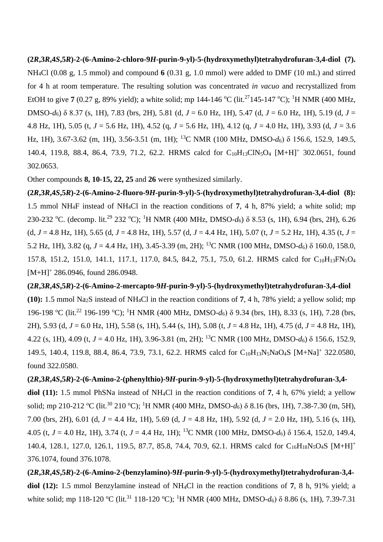# **(2***R***,3***R***,4***S***,5***R***)-2-(6-Amino-2-chloro-9***H***-purin-9-yl)-5-(hydroxymethyl)tetrahydrofuran-3,4-diol (7).**  NH4Cl (0.08 g, 1.5 mmol) and compound **6** (0.31 g, 1.0 mmol) were added to DMF (10 mL) and stirred for 4 h at room temperature. The resulting solution was concentrated *in vacuo* and recrystallized from EtOH to give **7** (0.27 g, 89% yield); a white solid; mp 144-146 °C (lit.<sup>27</sup>145-147 °C); <sup>1</sup>H NMR (400 MHz, DMSO*-d*6) δ 8.37 (s, 1H), 7.83 (brs, 2H), 5.81 (d, *J* = 6.0 Hz, 1H), 5.47 (d, *J* = 6.0 Hz, 1H), 5.19 (d, *J* = 4.8 Hz, 1H), 5.05 (t, *J* = 5.6 Hz, 1H), 4.52 (q, *J* = 5.6 Hz, 1H), 4.12 (q, *J* = 4.0 Hz, 1H), 3.93 (d, *J* = 3.6 Hz, 1H), 3.67-3.62 (m, 1H), 3.56-3.51 (m, 1H); <sup>13</sup>C NMR (100 MHz, DMSO*-d*6) δ 156.6, 152.9, 149.5, 140.4, 119.8, 88.4, 86.4, 73.9, 71.2, 62.2. HRMS calcd for C<sub>10</sub>H<sub>13</sub>ClN<sub>5</sub>O<sub>4</sub> [M+H]<sup>+</sup> 302.0651, found 302.0653.

Other compounds **8, 10-15, 22, 25** and **26** were synthesized similarly.

**(2***R***,3***R***,4***S***,5***R***)-2-(6-Amino-2-fluoro-9***H***-purin-9-yl)-5-(hydroxymethyl)tetrahydrofuran-3,4-diol (8):**  1.5 mmol NH4F instead of NH4Cl in the reaction conditions of **7**, 4 h, 87% yield; a white solid; mp 230-232 <sup>o</sup>C. (decomp. lit.<sup>29</sup> 232 <sup>o</sup>C); <sup>1</sup>H NMR (400 MHz, DMSO-d<sub>6</sub>) δ 8.53 (s, 1H), 6.94 (brs, 2H), 6.26 (d, *J* = 4.8 Hz, 1H), 5.65 (d, *J* = 4.8 Hz, 1H), 5.57 (d, *J* = 4.4 Hz, 1H), 5.07 (t, *J* = 5.2 Hz, 1H), 4.35 (t, *J* = 5.2 Hz, 1H), 3.82 (q, *J* = 4.4 Hz, 1H), 3.45-3.39 (m, 2H); <sup>13</sup>C NMR (100 MHz, DMSO*-d*6) δ 160.0, 158.0, 157.8, 151.2, 151.0, 141.1, 117.1, 117.0, 84.5, 84.2, 75.1, 75.0, 61.2. HRMS calcd for C<sub>10</sub>H<sub>13</sub>FN<sub>5</sub>O<sub>4</sub>  $[M+H]^+$  286.0946, found 286.0948.

**(2***R***,3***R***,4***S***,5***R***)-2-(6-Amino-2-mercapto-9***H***-purin-9-yl)-5-(hydroxymethyl)tetrahydrofuran-3,4-diol (10):** 1.5 mmol Na2S instead of NH4Cl in the reaction conditions of **7**, 4 h, 78% yield; a yellow solid; mp 196-198 °C (lit.<sup>22</sup> 196-199 °C); <sup>1</sup>H NMR (400 MHz, DMSO-*d*<sub>6</sub>) δ 9.34 (brs, 1H), 8.33 (s, 1H), 7.28 (brs, 2H), 5.93 (d, *J* = 6.0 Hz, 1H), 5.58 (s, 1H), 5.44 (s, 1H), 5.08 (t, *J* = 4.8 Hz, 1H), 4.75 (d, *J* = 4.8 Hz, 1H), 4.22 (s, 1H), 4.09 (t, *J* = 4.0 Hz, 1H), 3.96-3.81 (m, 2H); <sup>13</sup>C NMR (100 MHz, DMSO-*d*6) δ 156.6, 152.9, 149.5, 140.4, 119.8, 88.4, 86.4, 73.9, 73.1, 62.2. HRMS calcd for C<sub>10</sub>H<sub>13</sub>N<sub>5</sub>NaO<sub>4</sub>S [M+Na]<sup>+</sup> 322.0580, found 322.0580.

**(2***R***,3***R***,4***S***,5***R***)-2-(6-Amino-2-(phenylthio)-9***H***-purin-9-yl)-5-(hydroxymethyl)tetrahydrofuran-3,4 diol (11):** 1.5 mmol PhSNa instead of NH4Cl in the reaction conditions of **7**, 4 h, 67% yield; a yellow solid; mp 210-212 °C (lit.<sup>30</sup> 210 °C); <sup>1</sup>H NMR (400 MHz, DMSO-*d*<sub>6</sub>) δ 8.16 (brs, 1H), 7.38-7.30 (m, 5H), 7.00 (brs, 2H), 6.01 (d, *J* = 4.4 Hz, 1H), 5.69 (d, *J* = 4.8 Hz, 1H), 5.92 (d, *J* = 2.0 Hz, 1H), 5.16 (s, 1H), 4.05 (t, *J* = 4.0 Hz, 1H), 3.74 (t, *J* = 4.4 Hz, 1H); <sup>13</sup>C NMR (100 MHz, DMSO-*d*6) δ 156.4, 152.0, 149.4, 140.4, 128.1, 127.0, 126.1, 119.5, 87.7, 85.8, 74.4, 70.9, 62.1. HRMS calcd for C<sub>16</sub>H<sub>18</sub>N<sub>5</sub>O<sub>4</sub>S [M+H]<sup>+</sup> 376.1074, found 376.1078.

**(2***R***,3***R***,4***S***,5***R***)-2-(6-Amino-2-(benzylamino)-9***H***-purin-9-yl)-5-(hydroxymethyl)tetrahydrofuran-3,4 diol (12):** 1.5 mmol Benzylamine instead of NH4Cl in the reaction conditions of **7**, 8 h, 91% yield; a white solid; mp 118-120 °C (lit.<sup>31</sup> 118-120 °C); <sup>1</sup>H NMR (400 MHz, DMSO-*d*<sub>6</sub>) δ 8.86 (s, 1H), 7.39-7.31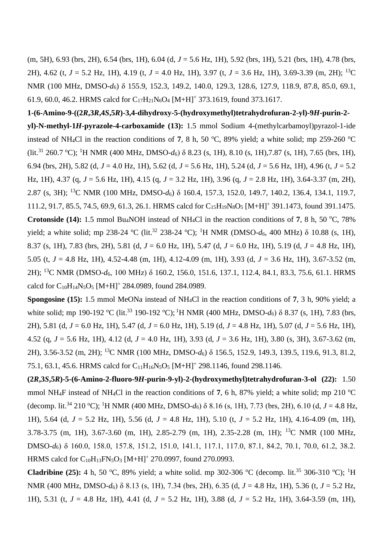(m, 5H), 6.93 (brs, 2H), 6.54 (brs, 1H), 6.04 (d, *J* = 5.6 Hz, 1H), 5.92 (brs, 1H), 5.21 (brs, 1H), 4.78 (brs, 2H), 4.62 (t, *J* = 5.2 Hz, 1H), 4.19 (t, *J* = 4.0 Hz, 1H), 3.97 (t, *J* = 3.6 Hz, 1H), 3.69-3.39 (m, 2H); <sup>13</sup>C NMR (100 MHz, DMSO-*d*6) δ 155.9, 152.3, 149.2, 140.0, 129.3, 128.6, 127.9, 118.9, 87.8, 85.0, 69.1, 61.9, 60.0, 46.2. HRMS calcd for  $C_{17}H_{21}N_6O_4$  [M+H]<sup>+</sup> 373.1619, found 373.1617.

**1-(6-Amino-9-((2***R***,3***R***,4***S***,5***R***)-3,4-dihydroxy-5-(hydroxymethyl)tetrahydrofuran-2-yl)-9***H***-purin-2 yl)-N-methyl-1***H***-pyrazole-4-carboxamide (13):** 1.5 mmol Sodium 4-(methylcarbamoyl)pyrazol-1-ide instead of NH<sub>4</sub>Cl in the reaction conditions of 7, 8 h, 50  $^{\circ}$ C, 89% yield; a white solid; mp 259-260  $^{\circ}$ C (lit.<sup>31</sup> 260.7 °C); <sup>1</sup>H NMR (400 MHz, DMSO-*d*<sub>6</sub>) δ 8.23 (s, 1H), 8.10 (s, 1H), 7.87 (s, 1H), 7.65 (brs, 1H), 6.94 (brs, 2H), 5.82 (d, *J* = 4.0 Hz, 1H), 5.62 (d, *J* = 5.6 Hz, 1H), 5.24 (d, *J* = 5.6 Hz, 1H), 4.96 (t, *J* = 5.2 Hz, 1H), 4.37 (q, *J* = 5.6 Hz, 1H), 4.15 (q, *J* = 3.2 Hz, 1H), 3.96 (q, *J* = 2.8 Hz, 1H), 3.64-3.37 (m, 2H), 2.87 (s, 3H); <sup>13</sup>C NMR (100 MHz, DMSO-*d*6) δ 160.4, 157.3, 152.0, 149.7, 140.2, 136.4, 134.1, 119.7, 111.2, 91.7, 85.5, 74.5, 69.9, 61.3, 26.1. HRMS calcd for C<sub>15</sub>H<sub>19</sub>N<sub>8</sub>O<sub>5</sub> [M+H]<sup>+</sup> 391.1473, found 391.1475. **Crotonside (14):** 1.5 mmol Bu<sub>4</sub>NOH instead of NH<sub>4</sub>Cl in the reaction conditions of 7, 8 h, 50 °C, 78% yield; a white solid; mp 238-24 °C (lit.<sup>32</sup> 238-24 °C); <sup>1</sup>H NMR (DMSO- $d_6$ , 400 MHz)  $\delta$  10.88 (s, 1H), 8.37 (s, 1H), 7.83 (brs, 2H), 5.81 (d, *J* = 6.0 Hz, 1H), 5.47 (d, *J* = 6.0 Hz, 1H), 5.19 (d, *J* = 4.8 Hz, 1H), 5.05 (t, *J* = 4.8 Hz, 1H), 4.52-4.48 (m, 1H), 4.12-4.09 (m, 1H), 3.93 (d, *J* = 3.6 Hz, 1H), 3.67-3.52 (m, 2H); <sup>13</sup>C NMR (DMSO-*d*6, 100 MHz) δ 160.2, 156.0, 151.6, 137.1, 112.4, 84.1, 83.3, 75.6, 61.1. HRMS calcd for  $C_{10}H_{14}N_5O_5$  [M+H]<sup>+</sup> 284.0989, found 284.0989.

**Spongosine (15):** 1.5 mmol MeONa instead of NH4Cl in the reaction conditions of **7**, 3 h, 90% yield; a white solid; mp 190-192 °C (lit.<sup>33</sup> 190-192 °C); <sup>1</sup>H NMR (400 MHz, DMSO-*d*<sub>6</sub>) δ 8.37 (s, 1H), 7.83 (brs, 2H), 5.81 (d, *J* = 6.0 Hz, 1H), 5.47 (d, *J* = 6.0 Hz, 1H), 5.19 (d, *J* = 4.8 Hz, 1H), 5.07 (d, *J* = 5.6 Hz, 1H), 4.52 (q, *J* = 5.6 Hz, 1H), 4.12 (d, *J* = 4.0 Hz, 1H), 3.93 (d, *J* = 3.6 Hz, 1H), 3.80 (s, 3H), 3.67-3.62 (m, 2H), 3.56-3.52 (m, 2H); <sup>13</sup>C NMR (100 MHz, DMSO-*d*6) δ 156.5, 152.9, 149.3, 139.5, 119.6, 91.3, 81.2, 75.1, 63.1, 45.6. HRMS calcd for C<sub>11</sub>H<sub>16</sub>N<sub>5</sub>O<sub>5</sub> [M+H]<sup>+</sup> 298.1146, found 298.1146.

**(2***R***,3***S***,5***R***)-5-(6-Amino-2-fluoro-9***H***-purin-9-yl)-2-(hydroxymethyl)tetrahydrofuran-3-ol (22):** 1.50 mmol NH<sub>4</sub>F instead of NH<sub>4</sub>Cl in the reaction conditions of 7, 6 h, 87% yield; a white solid; mp 210 <sup>o</sup>C (decomp. lit.<sup>34</sup> 210 °C); <sup>1</sup>H NMR (400 MHz, DMSO- $d_6$ )  $\delta$  8.16 (s, 1H), 7.73 (brs, 2H), 6.10 (d, *J* = 4.8 Hz, 1H), 5.64 (d, *J* = 5.2 Hz, 1H), 5.56 (d, *J* = 4.8 Hz, 1H), 5.10 (t, *J* = 5.2 Hz, 1H), 4.16-4.09 (m, 1H), 3.78-3.75 (m, 1H), 3.67-3.60 (m, 1H), 2.85-2.79 (m, 1H), 2.35-2.28 (m, 1H); <sup>13</sup>C NMR (100 MHz, DMSO-*d*6) δ 160.0, 158.0, 157.8, 151.2, 151.0, 141.1, 117.1, 117.0, 87.1, 84.2, 70.1, 70.0, 61.2, 38.2. HRMS calcd for  $C_{10}H_{13}FN_5O_3$  [M+H]<sup>+</sup> 270.0997, found 270.0993.

**Cladribine (25):** 4 h, 50 °C, 89% yield; a white solid. mp 302-306 °C (decomp. lit.<sup>35</sup> 306-310 °C); <sup>1</sup>H NMR (400 MHz, DMSO-*d*6) δ 8.13 (s, 1H), 7.34 (brs, 2H), 6.35 (d, *J* = 4.8 Hz, 1H), 5.36 (t, *J* = 5.2 Hz, 1H), 5.31 (t, *J* = 4.8 Hz, 1H), 4.41 (d, *J* = 5.2 Hz, 1H), 3.88 (d, *J* = 5.2 Hz, 1H), 3.64-3.59 (m, 1H),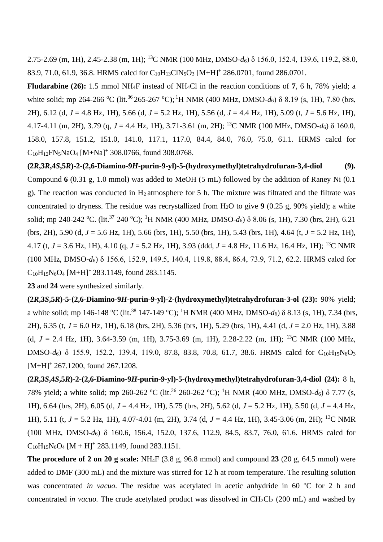2.75-2.69 (m, 1H), 2.45-2.38 (m, 1H); <sup>13</sup>C NMR (100 MHz, DMSO-*d*6) δ 156.0, 152.4, 139.6, 119.2, 88.0, 83.9, 71.0, 61.9, 36.8. HRMS calcd for C<sub>10</sub>H<sub>13</sub>ClN<sub>5</sub>O<sub>3</sub> [M+H]<sup>+</sup> 286.0701, found 286.0701.

**Fludarabine (26):** 1.5 mmol NH4F instead of NH4Cl in the reaction conditions of **7**, 6 h, 78% yield; a white solid; mp 264-266 °C (lit.<sup>36</sup> 265-267 °C); <sup>1</sup>H NMR (400 MHz, DMSO-*d*<sub>6</sub>) δ 8.19 (s, 1H), 7.80 (brs, 2H), 6.12 (d, *J* = 4.8 Hz, 1H), 5.66 (d, *J* = 5.2 Hz, 1H), 5.56 (d, *J* = 4.4 Hz, 1H), 5.09 (t, *J* = 5.6 Hz, 1H), 4.17-4.11 (m, 2H), 3.79 (q, *J* = 4.4 Hz, 1H), 3.71-3.61 (m, 2H); <sup>13</sup>C NMR (100 MHz, DMSO-*d*6) δ 160.0, 158.0, 157.8, 151.2, 151.0, 141.0, 117.1, 117.0, 84.4, 84.0, 76.0, 75.0, 61.1. HRMS calcd for  $C_{10}H_{12}FN_5NaO_4$  [M+Na]<sup>+</sup> 308.0766, found 308.0768.

 $(2R.3R.4S.5R)$ -2- $(2.6$ -Diamino-9*H*-purin-9-yl)-5-(hydroxymethyl)tetrahydrofuran-3,4-diol (9). Compound **6** (0.31 g, 1.0 mmol) was added to MeOH (5 mL) followed by the addition of Raney Ni (0.1 g). The reaction was conducted in  $H_2$  atmosphere for 5 h. The mixture was filtrated and the filtrate was concentrated to dryness. The residue was recrystallized from H2O to give **9** (0.25 g, 90% yield); a white solid; mp 240-242 °C. (lit.<sup>37</sup> 240 °C); <sup>1</sup>H NMR (400 MHz, DMSO-*d*6) δ 8.06 (s, 1H), 7.30 (brs, 2H), 6.21 (brs, 2H), 5.90 (d, *J* = 5.6 Hz, 1H), 5.66 (brs, 1H), 5.50 (brs, 1H), 5.43 (brs, 1H), 4.64 (t, *J* = 5.2 Hz, 1H), 4.17 (t, *J* = 3.6 Hz, 1H), 4.10 (q, *J* = 5.2 Hz, 1H), 3.93 (ddd, *J* = 4.8 Hz, 11.6 Hz, 16.4 Hz, 1H); <sup>13</sup>C NMR (100 MHz, DMSO*-d*6) δ 156.6, 152.9, 149.5, 140.4, 119.8, 88.4, 86.4, 73.9, 71.2, 62.2. HRMS calcd for  $C_{10}H_{15}N_6O_4$  [M+H]<sup>+</sup> 283.1149, found 283.1145.

**23** and **24** were synthesized similarly.

**(2***R***,3***S***,5***R***)-5-(2,6-Diamino-9***H***-purin-9-yl)-2-(hydroxymethyl)tetrahydrofuran-3-ol (23):** 90% yield; a white solid; mp 146-148 °C (lit.<sup>38</sup> 147-149 °C); <sup>1</sup>H NMR (400 MHz, DMSO-*d*<sub>6</sub>) δ 8.13 (s, 1H), 7.34 (brs, 2H), 6.35 (t, *J* = 6.0 Hz, 1H), 6.18 (brs, 2H), 5.36 (brs, 1H), 5.29 (brs, 1H), 4.41 (d, *J* = 2.0 Hz, 1H), 3.88 (d,  $J = 2.4$  Hz, 1H), 3.64-3.59 (m, 1H), 3.75-3.69 (m, 1H), 2.28-2.22 (m, 1H); <sup>13</sup>C NMR (100 MHz, DMSO-*d*<sub>6</sub>) δ 155.9, 152.2, 139.4, 119.0, 87.8, 83.8, 70.8, 61.7, 38.6. HRMS calcd for C<sub>10</sub>H<sub>15</sub>N<sub>6</sub>O<sub>3</sub>  $[M+H]^+$  267.1200, found 267.1208.

**(2***R***,3***S***,4***S***,5***R***)-2-(2,6-Diamino-9***H***-purin-9-yl)-5-(hydroxymethyl)tetrahydrofuran-3,4-diol (24):** 8 h, 78% yield; a white solid; mp 260-262 °C (lit.<sup>26</sup> 260-262 °C); <sup>1</sup>H NMR (400 MHz, DMSO-d<sub>6</sub>) δ 7.77 (s, 1H), 6.64 (brs, 2H), 6.05 (d, *J* = 4.4 Hz, 1H), 5.75 (brs, 2H), 5.62 (d, *J* = 5.2 Hz, 1H), 5.50 (d, *J* = 4.4 Hz, 1H), 5.11 (t, *J* = 5.2 Hz, 1H), 4.07-4.01 (m, 2H), 3.74 (d, *J* = 4.4 Hz, 1H), 3.45-3.06 (m, 2H); <sup>13</sup>C NMR (100 MHz, DMSO-*d*6) δ 160.6, 156.4, 152.0, 137.6, 112.9, 84.5, 83.7, 76.0, 61.6. HRMS calcd for  $C_{10}H_{15}N_6O_4$  [M + H]<sup>+</sup> 283.1149, found 283.1151.

**The procedure of 2 on 20 g scale:** NH4F (3.8 g, 96.8 mmol) and compound **23** (20 g, 64.5 mmol) were added to DMF (300 mL) and the mixture was stirred for 12 h at room temperature. The resulting solution was concentrated *in vacuo*. The residue was acetylated in acetic anhydride in 60 °C for 2 h and concentrated *in vacuo*. The crude acetylated product was dissolved in CH<sub>2</sub>Cl<sub>2</sub> (200 mL) and washed by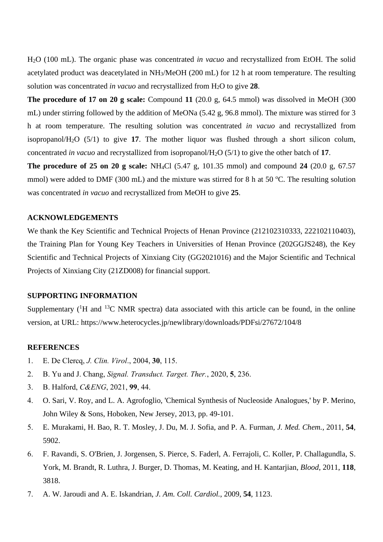H2O (100 mL). The organic phase was concentrated *in vacuo* and recrystallized from EtOH. The solid acetylated product was deacetylated in NH3/MeOH (200 mL) for 12 h at room temperature. The resulting solution was concentrated *in vacuo* and recrystallized from H2O to give **28**.

**The procedure of 17 on 20 g scale:** Compound 11 (20.0 g, 64.5 mmol) was dissolved in MeOH (300) mL) under stirring followed by the addition of MeONa (5.42 g, 96.8 mmol). The mixture was stirred for 3 h at room temperature. The resulting solution was concentrated *in vacuo* and recrystallized from isopropanol/H2O (5/1) to give **17**. The mother liquor was flushed through a short silicon colum, concentrated *in vacuo* and recrystallized from isopropanol/H2O (5/1) to give the other batch of **17**.

**The procedure of 25 on 20 g scale:** NH4Cl (5.47 g, 101.35 mmol) and compound **24** (20.0 g, 67.57 mmol) were added to DMF (300 mL) and the mixture was stirred for 8 h at 50  $^{\circ}$ C. The resulting solution was concentrated *in vacuo* and recrystallized from MeOH to give **25**.

# **ACKNOWLEDGEMENTS**

We thank the Key Scientific and Technical Projects of Henan Province (212102310333, 222102110403), the Training Plan for Young Key Teachers in Universities of Henan Province (202GGJS248), the Key Scientific and Technical Projects of Xinxiang City (GG2021016) and the Major Scientific and Technical Projects of Xinxiang City (21ZD008) for financial support.

## **SUPPORTING INFORMATION**

Supplementary  $({}^{1}H$  and  ${}^{13}C$  NMR spectra) data associated with this article can be found, in the online version, at URL: https://www.heterocycles.jp/newlibrary/downloads/PDFsi/27672/104/8

#### **REFERENCES**

- 1. E. De Clercq, *J. Clin. Virol*., 2004, **30**, 115.
- 2. B. Yu and J. Chang, *Signal. Transduct. Target. Ther.*, 2020, **5**, 236.
- 3. B. Halford, *C&ENG*, 2021, **99**, 44.
- 4. O. Sari, V. Roy, and L. A. Agrofoglio, 'Chemical Synthesis of Nucleoside Analogues,' by P. Merino, John Wiley & Sons, Hoboken, New Jersey, 2013, pp. 49-101.
- 5. E. Murakami, H. Bao, R. T. Mosley, J. Du, M. J. Sofia, and P. A. Furman, *J. Med. Chem.*, 2011, **54**, 5902.
- 6. F. Ravandi, S. O'Brien, J. Jorgensen, S. Pierce, S. Faderl, A. Ferrajoli, C. Koller, P. Challagundla, S. York, M. Brandt, R. Luthra, J. Burger, D. Thomas, M. Keating, and H. Kantarjian, *Blood*, 2011, **118**, 3818.
- 7. A. W. Jaroudi and A. E. Iskandrian, *J. Am. Coll. Cardiol.*, 2009, **54**, 1123.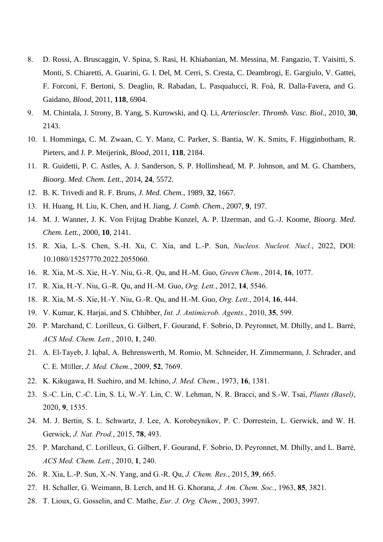- 8. D. Rossi, A. Bruscaggin, V. Spina, S. Rasi, H. Khiabanian, M. Messina, M. Fangazio, T. Vaisitti, S. Monti, S. Chiaretti, A. Guarini, G. I. Del, M. Cerri, S. Cresta, C. Deambrogi, E. Gargiulo, V. Gattei, F. Forconi, F. Bertoni, S. Deaglio, R. Rabadan, L. Pasqualucci, R. Foà, R. Dalla-Favera, and G. Gaidano, *Blood*, 2011, **118**, 6904.
- 9. M. Chintala, J. Strony, B. Yang, S. Kurowski, and Q. Li, *Arterioscler. Thromb. Vasc. Biol.*, 2010, **30**, 2143.
- 10. I. Homminga, C. M. Zwaan, C. Y. Manz, C. Parker, S. Bantia, W. K. Smits, F. Higginbotham, R. Pieters, and J. P. Meijerink, *Blood*, 2011, **118**, 2184.
- 11. R. Guidetti, P. C. Astles, A. J. Sanderson, S. P. Hollinshead, M. P. Johnson, and M. G. Chambers, *Bioorg. Med. Chem. Lett.*, 2014, **24**, 5572.
- 12. B. K. Trivedi and R. F. Bruns, *J. Med. Chem.*, 1989, **32**, 1667.
- 13. H. Huang, H. Liu, K. Chen, and H. Jiang, *J. Comb. Chem.*, 2007, **9**, 197.
- 14. M. J. Wanner, J. K. Von Frijtag Drabbe Kunzel, A. P. IJzerman, and G.-J. Koome, *Bioorg. Med. Chem. Lett.*, 2000, **10**, 2141.
- 15. R. Xia, L.-S. Chen, S.-H. Xu, C. Xia, and L.-P. Sun, *Nucleos. Nucleot. Nucl.*, 2022, DOI: 10.1080/15257770.2022.2055060.
- 16. R. Xia, M.-S. Xie, H.-Y. Niu, G.-R. Qu, and H.-M. Guo, *Green Chem.*, 2014, **16**, 1077.
- 17. R. Xia, H.-Y. Niu, G.-R. Qu, and H.-M. Guo, *Org. Lett.*, 2012, **14**, 5546.
- 18. R. Xia, M.-S. Xie, H.-Y. Niu, G.-R. Qu, and H.-M. Guo, *Org. Lett.*, 2014, **16**, 444.
- 19. V. Kumar, K. Harjai, and S. Chhibber, *Int. J. Antimicrob. Agents.*, 2010, **35**, 599.
- 20. P. Marchand, C. Lorilleux, G. Gilbert, F. Gourand, F. Sobrio, D. Peyronnet, M. Dhilly, and L. Barré, *ACS Med. Chem. Lett.*, 2010, **1**, 240.
- 21. A. El-Tayeb, J. Iqbal, A. Behrenswerth, M. Romio, M. Schneider, H. Zimmermann, J. Schrader, and C. E*.* Müller, *J. Med. Chem.*, 2009, **52**, 7669.
- 22. K. Kikugawa, H. Suehiro, and M. Ichino, *J. Med. Chem.*, 1973, **16**, 1381.
- 23. S.-C. Lin, C.-C. Lin, S. Li, W.-Y. Lin, C. W. Lehman, N. R. Bracci, and S.-W. Tsai, *Plants (Basel)*, 2020, **9**, 1535.
- 24. M. J. Bertin, S. L. Schwartz, J. Lee, A. Korobeynikov, P. C. Dorrestein, L. Gerwick, and W. H. Gerwick, *J. Nat. Prod.*, 2015, **78**, 493.
- 25. P. Marchand, C. Lorilleux, G. Gilbert, F. Gourand, F. Sobrio, D. Peyronnet, M. Dhilly, and L. Barré, *ACS Med. Chem. Lett.*, 2010, **1**, 240.
- 26. R. Xia, L.-P. Sun, X.-N. Yang, and G.-R. Qu, *J. Chem. Res.*, 2015, **39**, 665.
- 27. H. Schaller, G. Weimann, B. Lerch, and H. G. Khorana, *J. Am. Chem. Soc.*, 1963, **85**, 3821.
- 28. T. Lioux, G. Gosselin, and C. Mathe, *Eur. J. Org. Chem.*, 2003, 3997.